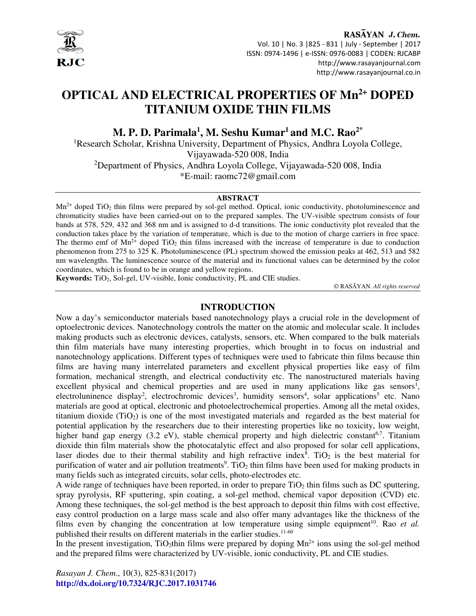

RASAYAN J. Chem. Vol. 10 | No. 3 |825 - 831 | July - September | 2017 ISSN: 0974-1496 | e-ISSN: 0976-0083 | CODEN: RJCABP http://www.rasayanjournal.com http://www.rasayanjournal.co.in

# **OPTICAL AND ELECTRICAL PROPERTIES OF Mn2+ DOPED TITANIUM OXIDE THIN FILMS**

**M. P. D. Parimala<sup>1</sup> , M. Seshu Kumar<sup>1</sup>and M.C. Rao2\*** 

<sup>1</sup>Research Scholar, Krishna University, Department of Physics, Andhra Loyola College, Vijayawada-520 008, India <sup>2</sup>Department of Physics, Andhra Loyola College, Vijayawada-520 008, India

\*E-mail: raomc72@gmail.com

#### **ABSTRACT**

 $Mn^{2+}$  doped TiO<sub>2</sub> thin films were prepared by sol-gel method. Optical, ionic conductivity, photoluminescence and chromaticity studies have been carried-out on to the prepared samples. The UV-visible spectrum consists of four bands at 578, 529, 432 and 368 nm and is assigned to d-d transitions. The ionic conductivity plot revealed that the conduction takes place by the variation of temperature, which is due to the motion of charge carriers in free space. The thermo emf of  $Mn^{2+}$  doped TiO<sub>2</sub> thin films increased with the increase of temperature is due to conduction phenomenon from 275 to 325 K. Photoluminescence (PL) spectrum showed the emission peaks at 462, 513 and 582 nm wavelengths. The luminescence source of the material and its functional values can be determined by the color coordinates, which is found to be in orange and yellow regions.

Keywords: TiO<sub>2</sub>, Sol-gel, UV-visible, Ionic conductivity, PL and CIE studies.

© RASĀYAN. *All rights reserved*

## **INTRODUCTION**

Now a day's semiconductor materials based nanotechnology plays a crucial role in the development of optoelectronic devices. Nanotechnology controls the matter on the atomic and molecular scale. It includes making products such as electronic devices, catalysts, sensors, etc. When compared to the bulk materials thin film materials have many interesting properties, which brought in to focus on industrial and nanotechnology applications. Different types of techniques were used to fabricate thin films because thin films are having many interrelated parameters and excellent physical properties like easy of film formation, mechanical strength, and electrical conductivity etc. The nanostructured materials having excellent physical and chemical properties and are used in many applications like gas sensors<sup>1</sup>, electroluninence display<sup>2</sup>, electrochromic devices<sup>3</sup>, humidity sensors<sup>4</sup>, solar applications<sup>5</sup> etc. Nano materials are good at optical, electronic and photoelectrochemical properties. Among all the metal oxides, titanium dioxide ( $TiO<sub>2</sub>$ ) is one of the most investigated materials and regarded as the best material for potential application by the researchers due to their interesting properties like no toxicity, low weight, higher band gap energy  $(3.2 \text{ eV})$ , stable chemical property and high dielectric constant<sup>6,7</sup>. Titanium dioxide thin film materials show the photocatalytic effect and also proposed for solar cell applications, laser diodes due to their thermal stability and high refractive index<sup>8</sup>. TiO<sub>2</sub> is the best material for purification of water and air pollution treatments<sup>9</sup>. TiO<sub>2</sub> thin films have been used for making products in many fields such as integrated circuits, solar cells, photo-electrodes etc.

A wide range of techniques have been reported, in order to prepare  $TiO<sub>2</sub>$  thin films such as DC sputtering, spray pyrolysis, RF sputtering, spin coating, a sol-gel method, chemical vapor deposition (CVD) etc. Among these techniques, the sol-gel method is the best approach to deposit thin films with cost effective, easy control production on a large mass scale and also offer many advantages like the thickness of the films even by changing the concentration at low temperature using simple equipment<sup>10</sup>. Rao *et al.* published their results on different materials in the earlier studies.<sup>11-60</sup>

In the present investigation,  $TiO_2$ thin films were prepared by doping  $Mn^{2+}$  ions using the sol-gel method and the prepared films were characterized by UV-visible, ionic conductivity, PL and CIE studies.

*Rasayan J. Chem*., 10(3), 825-831(2017) **http://dx.doi.org/10.7324/RJC.2017.1031746**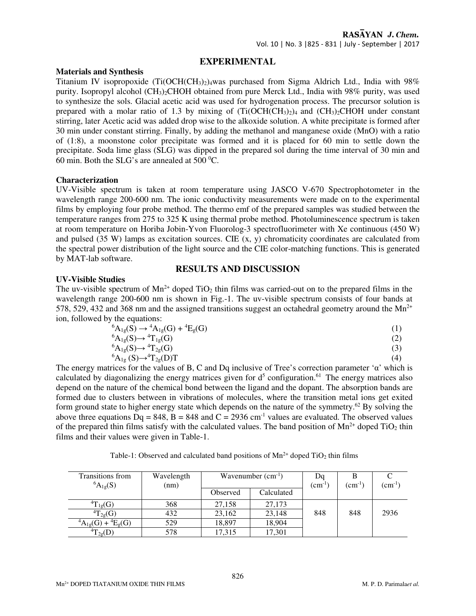# **EXPERIMENTAL**

### **Materials and Synthesis**

Titanium IV isopropoxide  $(Ti(OCH(CH<sub>3</sub>)<sub>2</sub>)<sub>4</sub>$ was purchased from Sigma Aldrich Ltd., India with 98% purity. Isopropyl alcohol (CH3)2CHOH obtained from pure Merck Ltd., India with 98% purity, was used to synthesize the sols. Glacial acetic acid was used for hydrogenation process. The precursor solution is prepared with a molar ratio of 1.3 by mixing of  $(Ti(OCH(CH_3)_2)_4$  and  $(CH_3)_2CHOH$  under constant stirring, later Acetic acid was added drop wise to the alkoxide solution. A white precipitate is formed after 30 min under constant stirring. Finally, by adding the methanol and manganese oxide (MnO) with a ratio of (1:8), a moonstone color precipitate was formed and it is placed for 60 min to settle down the precipitate. Soda lime glass (SLG) was dipped in the prepared sol during the time interval of 30 min and 60 min. Both the SLG's are annealed at  $500\text{ °C}$ .

## **Characterization**

UV-Visible spectrum is taken at room temperature using JASCO V-670 Spectrophotometer in the wavelength range 200-600 nm. The ionic conductivity measurements were made on to the experimental films by employing four probe method. The thermo emf of the prepared samples was studied between the temperature ranges from 275 to 325 K using thermal probe method. Photoluminescence spectrum is taken at room temperature on Horiba Jobin-Yvon Fluorolog-3 spectrofluorimeter with Xe continuous (450 W) and pulsed  $(35 \text{ W})$  lamps as excitation sources. CIE  $(x, y)$  chromaticity coordinates are calculated from the spectral power distribution of the light source and the CIE color-matching functions. This is generated by MAT-lab software.

# **RESULTS AND DISCUSSION**

## **UV-Visible Studies**

The uv-visible spectrum of  $Mn^{2+}$  doped TiO<sub>2</sub> thin films was carried-out on to the prepared films in the wavelength range 200-600 nm is shown in Fig.-1. The uv-visible spectrum consists of four bands at 578, 529, 432 and 368 nm and the assigned transitions suggest an octahedral geometry around the  $Mn^{2+}$ ion, followed by the equations:

$$
{}^{6}A_{1g}(S) \rightarrow {}^{4}A_{1g}(G) + {}^{4}E_{g}(G)
$$
\n
$$
{}^{6}A_{1g}(S) \rightarrow {}^{4}T_{1g}(G)
$$
\n
$$
(1)
$$
\n
$$
{}^{6}A_{1g}(S) \rightarrow {}^{4}T_{1g}(G)
$$
\n
$$
(2)
$$

$$
{}^{6}A_{1g}(S) \rightarrow {}^{4}T_{2g}(G) \tag{3}
$$

$$
{}^{6}A_{1g}(S) \rightarrow {}^{4}T_{2g}(D)T
$$
 (4)

The energy matrices for the values of B, C and Dq inclusive of Tree's correction parameter 'α' which is calculated by diagonalizing the energy matrices given for  $d<sup>5</sup>$  configuration.<sup>61</sup> The energy matrices also depend on the nature of the chemical bond between the ligand and the dopant. The absorption bands are formed due to clusters between in vibrations of molecules, where the transition metal ions get exited form ground state to higher energy state which depends on the nature of the symmetry.<sup>62</sup> By solving the above three equations  $\overline{Dq} = 848$ ,  $\overline{B} = 848$  and  $\overline{C} = 2936$  cm<sup>-1</sup> values are evaluated. The observed values of the prepared thin films satisfy with the calculated values. The band position of  $Mn^{2+}$  doped TiO<sub>2</sub> thin films and their values were given in Table-1.

Transitions from  ${}^{6}A_{1g}(S)$ Wavelength (nm) Wavenumber  $(cm^{-1})$ ) Dq  $(cm^{-1})$ B  $(cm^{-1})$  $\overline{C}$  $(cm^{-1})$ Observed | Calculated  ${}^{4}T_{1g}(G)$  368 27,158 27,173  ${}^{4}T_{2g}(G)$  432  $|$  23,162 23,148 848 848 2936  ${}^{4}A_{1g}(G) + {}^{4}E_{g}(G)$  529 18,897 18,904  ${}^{4}T_{2g}(D)$  578 17,315 17,301

Table-1: Observed and calculated band positions of  $Mn^{2+}$  doped TiO<sub>2</sub> thin films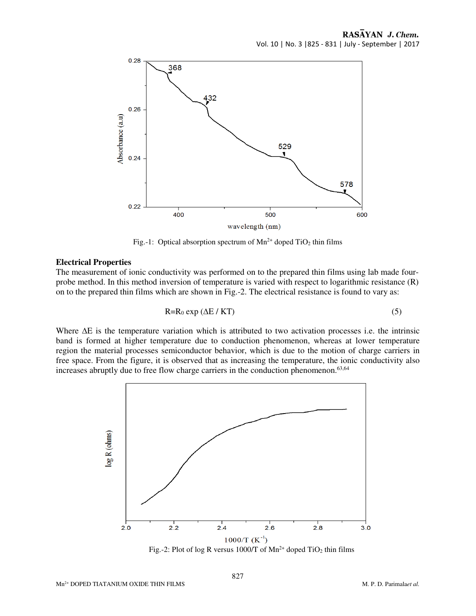

Fig.-1: Optical absorption spectrum of  $Mn^{2+}$  doped TiO<sub>2</sub> thin films

#### **Electrical Properties**

The measurement of ionic conductivity was performed on to the prepared thin films using lab made fourprobe method. In this method inversion of temperature is varied with respect to logarithmic resistance (R) on to the prepared thin films which are shown in Fig.-2. The electrical resistance is found to vary as:

$$
R=R_0 \exp\left(\Delta E / KT\right) \tag{5}
$$

Where  $\Delta E$  is the temperature variation which is attributed to two activation processes i.e. the intrinsic band is formed at higher temperature due to conduction phenomenon, whereas at lower temperature region the material processes semiconductor behavior, which is due to the motion of charge carriers in free space. From the figure, it is observed that as increasing the temperature, the ionic conductivity also increases abruptly due to free flow charge carriers in the conduction phenomenon.<sup>63,64</sup>

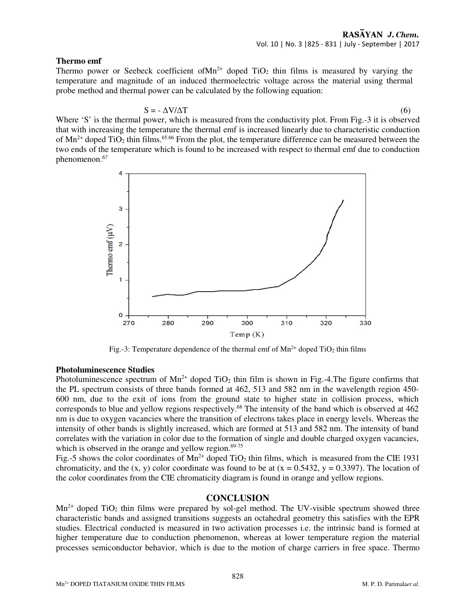## **Thermo emf**

Thermo power or Seebeck coefficient of  $Mn^{2+}$  doped TiO<sub>2</sub> thin films is measured by varying the temperature and magnitude of an induced thermoelectric voltage across the material using thermal probe method and thermal power can be calculated by the following equation:

$$
S = -\Delta V / \Delta T \tag{6}
$$

Where 'S' is the thermal power, which is measured from the conductivity plot. From Fig.-3 it is observed that with increasing the temperature the thermal emf is increased linearly due to characteristic conduction of  $Mn^{2+}$  doped TiO<sub>2</sub> thin films.<sup>65.66</sup> From the plot, the temperature difference can be measured between the two ends of the temperature which is found to be increased with respect to thermal emf due to conduction phenomenon.<sup>67</sup>



Fig.-3: Temperature dependence of the thermal emf of  $Mn^{2+}$  doped TiO<sub>2</sub> thin films

# **Photoluminescence Studies**

Photoluminescence spectrum of  $Mn^{2+}$  doped TiO<sub>2</sub> thin film is shown in Fig.-4. The figure confirms that the PL spectrum consists of three bands formed at 462, 513 and 582 nm in the wavelength region 450- 600 nm, due to the exit of ions from the ground state to higher state in collision process, which corresponds to blue and yellow regions respectively.<sup>68</sup> The intensity of the band which is observed at 462 nm is due to oxygen vacancies where the transition of electrons takes place in energy levels. Whereas the intensity of other bands is slightly increased, which are formed at 513 and 582 nm. The intensity of band correlates with the variation in color due to the formation of single and double charged oxygen vacancies, which is observed in the orange and yellow region. $69-75$ 

Fig.-5 shows the color coordinates of  $Mn^{2+}$  doped TiO<sub>2</sub> thin films, which is measured from the CIE 1931 chromaticity, and the  $(x, y)$  color coordinate was found to be at  $(x = 0.5432, y = 0.3397)$ . The location of the color coordinates from the CIE chromaticity diagram is found in orange and yellow regions.

# **CONCLUSION**

 $Mn^{2+}$  doped TiO<sub>2</sub> thin films were prepared by sol-gel method. The UV-visible spectrum showed three characteristic bands and assigned transitions suggests an octahedral geometry this satisfies with the EPR studies. Electrical conducted is measured in two activation processes i.e. the intrinsic band is formed at higher temperature due to conduction phenomenon, whereas at lower temperature region the material processes semiconductor behavior, which is due to the motion of charge carriers in free space. Thermo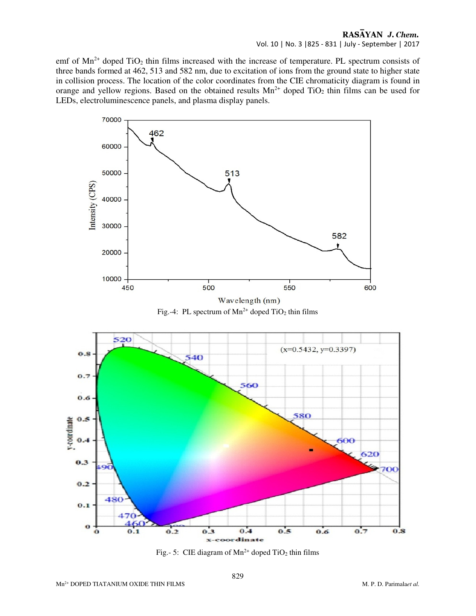# RASAYAN J. Chem. Vol. 10 | No. 3 |825 - 831 | July - September | 2017

emf of  $Mn^{2+}$  doped TiO<sub>2</sub> thin films increased with the increase of temperature. PL spectrum consists of three bands formed at 462, 513 and 582 nm, due to excitation of ions from the ground state to higher state in collision process. The location of the color coordinates from the CIE chromaticity diagram is found in orange and yellow regions. Based on the obtained results  $Mn^{2+}$  doped TiO<sub>2</sub> thin films can be used for LEDs, electroluminescence panels, and plasma display panels.







Fig.- 5: CIE diagram of  $Mn^{2+}$  doped TiO<sub>2</sub> thin films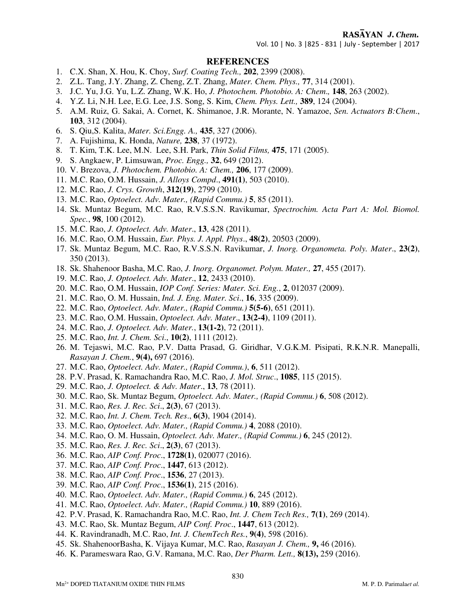# RASAYAN J. Chem.

Vol. 10 | No. 3 |825 - 831 | July - September | 2017

#### **REFERENCES**

- 1. C.X. Shan, X. Hou, K. Choy, *Surf. Coating Tech.,* **202**, 2399 (2008).
- 2. Z.L. Tang, J.Y. Zhang, Z. Cheng, Z.T. Zhang, *Mater. Chem. Phys.,* **77**, 314 (2001).
- 3. J.C. Yu, J.G. Yu, L.Z. Zhang, W.K. Ho, *J. Photochem. Photobio. A: Chem*.*,* **148**, 263 (2002).
- 4. Y.Z. Li, N.H. Lee, E.G. Lee, J.S. Song, S. Kim, *Chem. Phys. Lett.,* **389**, 124 (2004).
- 5. A.M. Ruiz, G. Sakai, A. Cornet, K. Shimanoe, J.R. Morante, N. Yamazoe, *Sen. Actuators B:Chem*., **103**, 312 (2004).
- 6. S. Qiu,S. Kalita, *Mater. Sci.Engg. A.,* **435**, 327 (2006).
- 7. A. Fujishima, K. Honda, *Nature,* **238**, 37 (1972).
- 8. T. Kim, T.K. Lee, M.N. Lee, S.H. Park, *Thin Solid Films,* **475**, 171 (2005).
- 9. S. Angkaew, P. Limsuwan, *Proc. Engg.,* **32**, 649 (2012).
- 10. V. Brezova, *J. Photochem. Photobio. A: Chem.,* **206**, 177 (2009).
- 11. M.C. Rao, O.M. Hussain, *J. Alloys Compd*., **491(1)**, 503 (2010).
- 12. M.C. Rao, *J. Crys. Growth*, **312(19)**, 2799 (2010).
- 13. M.C. Rao, *Optoelect. Adv. Mater., (Rapid Commu.)* **5**, 85 (2011).
- 14. Sk. Muntaz Begum, M.C. Rao, R.V.S.S.N. Ravikumar, *Spectrochim. Acta Part A: Mol. Biomol. Spec.*, **98**, 100 (2012).
- 15. M.C. Rao, *J. Optoelect. Adv. Mater*., **13**, 428 (2011).
- 16. M.C. Rao, O.M. Hussain, *Eur. Phys. J. Appl. Phys*., **48(2)**, 20503 (2009).
- 17. Sk. Muntaz Begum, M.C. Rao, R.V.S.S.N. Ravikumar, *J. Inorg. Organometa. Poly. Mater*., **23(2)**, 350 (2013).
- 18. Sk. Shahenoor Basha, M.C. Rao, *J. Inorg. Organomet. Polym. Mater.,* **27**, 455 (2017).
- 19. M.C. Rao, *J. Optoelect. Adv. Mater*., **12**, 2433 (2010).
- 20. M.C. Rao, O.M. Hussain, *IOP Conf. Series: Mater. Sci. Eng.*, **2**, 012037 (2009).
- 21. M.C. Rao, O. M. Hussain, *Ind. J. Eng. Mater. Sci*., **16**, 335 (2009).
- 22. M.C. Rao, *Optoelect. Adv. Mater., (Rapid Commu.)* **5(5-6)**, 651 (2011).
- 23. M.C. Rao, O.M. Hussain, *Optoelect. Adv. Mater*., **13(2-4)**, 1109 (2011).
- 24. M.C. Rao, *J. Optoelect. Adv. Mater.*, **13(1-2)**, 72 (2011).
- 25. M.C. Rao, *Int. J. Chem. Sci*., **10(2)**, 1111 (2012).
- 26. M. Tejaswi, M.C. Rao, P.V. Datta Prasad, G. Giridhar, V.G.K.M. Pisipati, R.K.N.R. Manepalli, *Rasayan J. Chem.*, **9(4),** 697 (2016).
- 27. M.C. Rao, *Optoelect. Adv. Mater., (Rapid Commu.)*, **6**, 511 (2012).
- 28. P.V. Prasad, K. Ramachandra Rao, M.C. Rao, *J. Mol. Struc*., **1085**, 115 (2015).
- 29. M.C. Rao, *J. Optoelect. & Adv. Mater*., **13**, 78 (2011).
- 30. M.C. Rao, Sk. Muntaz Begum, *Optoelect. Adv. Mater., (Rapid Commu.)* **6**, 508 (2012).
- 31. M.C. Rao, *Res. J. Rec. Sci*., **2(3)**, 67 (2013).
- 32. M.C. Rao, *Int. J. Chem. Tech. Res*., **6(3)**, 1904 (2014).
- 33. M.C. Rao, *Optoelect. Adv. Mater., (Rapid Commu.)* **4**, 2088 (2010).
- 34. M.C. Rao, O. M. Hussain, *Optoelect. Adv. Mater., (Rapid Commu.)* **6**, 245 (2012).
- 35. M.C. Rao, *Res. J. Rec. Sci*., **2(3)**, 67 (2013).
- 36. M.C. Rao, *AIP Conf. Proc*., **1728(1)**, 020077 (2016).
- 37. M.C. Rao, *AIP Conf. Proc*., **1447**, 613 (2012).
- 38. M.C. Rao, *AIP Conf. Proc*., **1536**, 27 (2013).
- 39. M.C. Rao, *AIP Conf. Proc*., **1536(1)**, 215 (2016).
- 40. M.C. Rao, *Optoelect. Adv. Mater., (Rapid Commu.)* **6**, 245 (2012).
- 41. M.C. Rao, *Optoelect. Adv. Mater., (Rapid Commu.)* **10**, 889 (2016).
- 42. P.V. Prasad, K. Ramachandra Rao, M.C. Rao, *Int. J. Chem Tech Res.,* **7(1)**, 269 (2014).
- 43. M.C. Rao, Sk. Muntaz Begum, *AIP Conf. Proc*., **1447**, 613 (2012).
- 44. K. Ravindranadh, M.C. Rao, *Int. J. ChemTech Res.*, **9(4)**, 598 (2016).
- 45. Sk. ShahenoorBasha, K. Vijaya Kumar, M.C. Rao, *Rasayan J. Chem.,* **9,** 46 (2016).
- 46. K. Parameswara Rao, G.V. Ramana, M.C. Rao, *Der Pharm. Lett.,* **8(13),** 259 (2016).